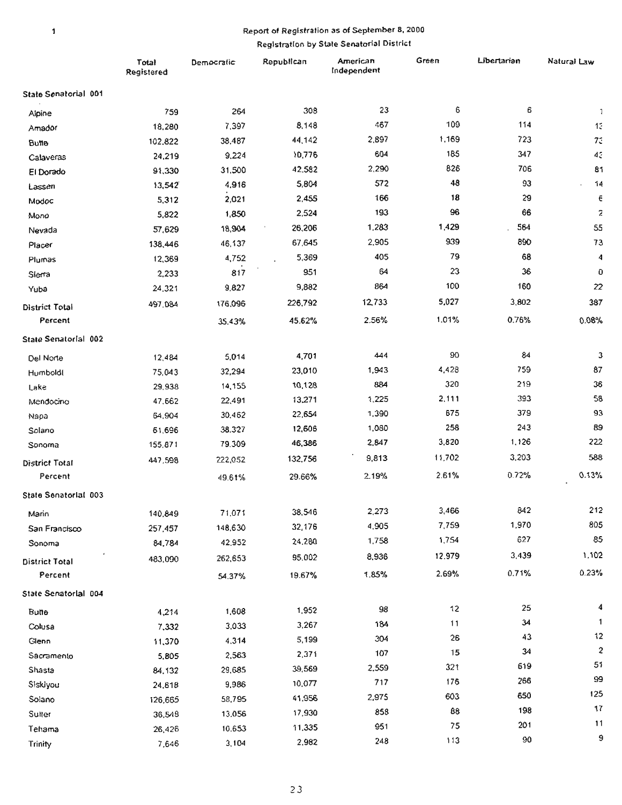### Report of Registration as of September 8, 2000

### Registration by State Senatorial District

|                       | Total<br>Registered | Democratic | Republican | American<br>Independent | Green  | Libertarian | Natural Law  |
|-----------------------|---------------------|------------|------------|-------------------------|--------|-------------|--------------|
| State Senatorial 001  |                     |            |            |                         |        |             |              |
| Alpine                | 759                 | 264        | 308        | 23                      | 6      | 6           | $\mathbf{1}$ |
| Amador                | 18,280              | 7,397      | 8,148      | 467                     | 109    | 114         | 15           |
| <b>Butte</b>          | 102,822             | 38,487     | 44,142     | 2,897                   | 1,169  | 723         | 73           |
| Calaveras             | 24,219              | 9,224      | 10,776     | 604                     | 185    | 347         | 43           |
| El Dorado             | 91,330              | 31,500     | 42.582     | 2,290                   | 826    | 706         | 81           |
| Lassen                | 13,542              | 4,916      | 5,804      | 572                     | 48     | 93          | 14           |
| Modoc                 | 5,312               | 2,021      | 2,455      | 166                     | 18     | 29          | €            |
| Mono                  | 5,822               | 1,850      | 2,524      | 193                     | 96     | 66          | 2            |
| Nevada                | 57,629              | 18,904     | 26,206     | 1,283                   | 1,429  | 564         | 55           |
| Placer                | 138,446             | 46,137     | 67,645     | 2,905                   | 939    | 890         | 73           |
| Plumas                | 12,369              | 4,752      | 5,369      | 405                     | 79     | 68          | 4            |
| Sierra                | 2,233               | 817        | 951        | 64                      | 23     | 36          | 0            |
| Yuba                  | 24,321              | 9,827      | 9,882      | 864                     | 100    | 160         | 22           |
| District Total        | 497,084             | 176,096    | 226,792    | 12,733                  | 5,027  | 3,802       | 387          |
| Percent               |                     | 35.43%     | 45.62%     | 2.56%                   | 1.01%  | 0.76%       | 0.08%        |
| State Senatorial 002  |                     |            |            |                         |        |             |              |
| Del Norte             | 12,484              | 5,014      | 4,701      | 444                     | 90     | 84          | з            |
| Humboldl              | 75,043              | 32,294     | 23,010     | 1,943                   | 4,428  | 759         | 87           |
| Lake                  | 29,938              | 14,155     | 10,128     | 884                     | 320    | 219         | 36           |
| Mendocino             | 47,662              | 22,491     | 13,271     | 1,225                   | 2,111  | 393         | 58           |
| Napa                  | 64,904              | 30,462     | 22,654     | 1,390                   | 675    | 379         | 93           |
| Solano                | 61,696              | 38.327     | 12,606     | 1,080                   | 258    | 243         | 89           |
| Sonoma                | 155,871             | 79.309     | 46,386     | 2,847                   | 3,820  | 1,126       | 222          |
| District Total        | 447,598             | 222,052    | 132,756    | 9,813                   | 11,702 | 3,203       | 588          |
| Percent               |                     | 49.61%     | 29.66%     | 2.19%                   | 2.61%  | 0.72%       | 0.13%        |
| State Senatorial 003  |                     |            |            |                         |        |             |              |
| Marin                 | 140,849             | 71,071     | 38,546     | 2,273                   | 3,466  | 842         | 212          |
| San Francisco         | 257,457             | 148,630    | 32,176     | 4,905                   | 7,759  | 1,970       | 805          |
| Sonoma                | 84,784              | 42,952     | 24.280     | 1,758                   | 1,754  | 627         | 85           |
| <b>District Total</b> | 483,090             | 262,653    | 95,002     | 8,936                   | 12.979 | 3,439       | 1,102        |
| Percent               |                     | 54.37%     | 19.67%     | 1.85%                   | 2.69%  | 0.71%       | 0.23%        |
| State Senatorial 004  |                     |            |            |                         |        |             |              |
| <b>Butte</b>          | 4,214               | 1,608      | 1,952      | 98                      | 12     | 25          | 4            |
| Colusa                | 7,332               | 3,033      | 3,267      | 184                     | 11     | 34          | 1            |
| Glenn                 | 11,370              | 4,314      | 5,199      | 304                     | 26     | 43          | 12           |
| Sacramento            | 5,805               | 2,563      | 2,371      | 107                     | 15     | 34          | $\mathbf{c}$ |
| Shasta                | 84,132              | 29,685     | 39,569     | 2,559                   | 321    | 619         | 51           |
| Siskiyou              | 24,618              | 9,986      | 10,077     | 717                     | 176    | 266         | 99           |
| Solano                | 126,665             | 58,795     | 41,956     | 2,975                   | 603    | 650         | 125          |
| Sulter                | 36,548              | 13,056     | 17,930     | 858                     | 88     | 198         | 17           |
| Tehama                | 26,426              | 10.653     | 11,335     | 951                     | 75     | 201         | 11           |
| Trinity               | 7,646               | 3,104      | 2,982      | 248                     | 113    | 90          | 9            |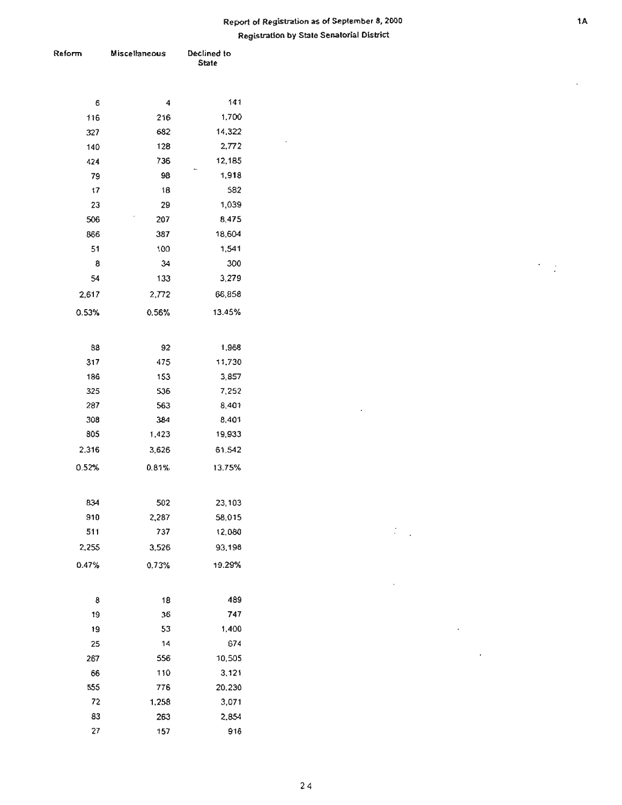### **Repoft of Registration as of September 8, 2000 Registration by State Senatorial District**

 $\sim$ 

 $\mathcal{L}(\mathcal{L})$ 

 $\cdot$ 

 $\sim$ 

 $\bar{\mathcal{L}}$ 

 $\sim 10^{-11}$ 

| teform  | Miscellaneous | Declined to<br><b>State</b> |  |  |
|---------|---------------|-----------------------------|--|--|
|         |               |                             |  |  |
| 6       | 4             | 141                         |  |  |
| 116     | 216           | 1,700                       |  |  |
| 327     | 682           | 14,322                      |  |  |
| 140     | 128           | 2,772                       |  |  |
| 424     | 736           | 12,185                      |  |  |
| 79      | 98            | 1,918                       |  |  |
| 17      | 18            | 582                         |  |  |
| 23      | 29            | 1,039                       |  |  |
| 506     | 207           | 8,475                       |  |  |
| 866     | 387           | 18,604                      |  |  |
| 51      | 100           | 1,541                       |  |  |
| 8<br>54 | 34            | 300<br>3,279                |  |  |
|         | 133           |                             |  |  |
| 2,617   | 2,772         | 66,858                      |  |  |
| 0.53%   | 0.56%         | 13.45%                      |  |  |
| 88      | 92            | 1,968                       |  |  |
| 317     | 475           | 11,730                      |  |  |
| 186     | 153           | 3,857                       |  |  |
| 325     | 536           | 7,252                       |  |  |
| 287     | 563           | 8,401                       |  |  |
| 308     | 384           | 8,401                       |  |  |
| 805     | 1,423         | 19,933                      |  |  |
| 2,316   | 3,626         | 61,542                      |  |  |
| 0.52%   | 0.81%         | 13.75%                      |  |  |
| 834     | 502           | 23,103                      |  |  |
| 910     | 2,287         | 58,015                      |  |  |
| 511     | 737           | 12,080                      |  |  |
| 2,255   | 3,526         | 93,198                      |  |  |
| 0.47%   | 0.73%         | 19.29%                      |  |  |
| 8       | 18            | 489                         |  |  |
| 19      | 36            | 747                         |  |  |
| 19      | 53            | 1,400                       |  |  |
| 25      | 14            | 674                         |  |  |
| 267     | 556           | 10,505                      |  |  |
| 66      | 110           | 3,121                       |  |  |
| 555     | 776           | 20,230                      |  |  |
| 72      | 1,258         | 3,071                       |  |  |
| 83      | 263           | 2,854                       |  |  |
| 27      | 157           | 916                         |  |  |

 $\overline{\phantom{a}}$ 

 $\gamma$  $\frac{1}{2}$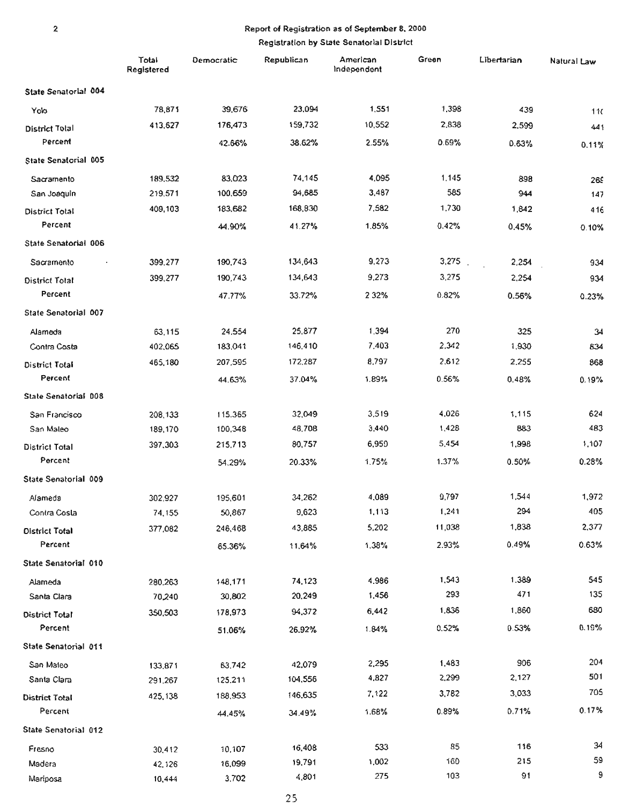# Report of Registration as of September 8, 2000

|                       | Total<br>Registered | Democratic | Republican | American<br>Independent | Green  | Libertarian | Natural Law |
|-----------------------|---------------------|------------|------------|-------------------------|--------|-------------|-------------|
| State Senatorial 004  |                     |            |            |                         |        |             |             |
| Yolo                  | 78,871              | 39,676     | 23,094     | 1,551                   | 1,398  | 439         | 11          |
| <b>District Total</b> | 413,627             | 176,473    | 159,732    | 10,552                  | 2,838  | 2,599       | 441         |
| Percent               |                     | 42.66%     | 38.62%     | 2.55%                   | 0.69%  | 0.63%       | 0.11%       |
| State Senatorial 005  |                     |            |            |                         |        |             |             |
| Sacramento            | 189,532             | 83,023     | 74,145     | 4,095                   | 1.145  | 898         | 265         |
| San Joaquin           | 219,571             | 100,659    | 94,685     | 3,487                   | 585    | 944         | 147         |
| District Total        | 409,103             | 183,682    | 168,830    | 7,582                   | 1,730  | 1.842       | 416         |
| Percent               |                     | 44.90%     | 41.27%     | 1.85%                   | 0.42%  | 0.45%       | 0.10%       |
| State Senatorial 006  |                     |            |            |                         |        |             |             |
| Sacramento            | 399,277             | 190,743    | 134,643    | 9,273                   | 3,275  | 2,254       | 934         |
| District Total        | 399,277             | 190,743    | 134,643    | 9,273                   | 3,275  | 2,254       | 934         |
| Percent               |                     | 47.77%     | 33.72%     | 2 3 2%                  | 0.82%  | 0.56%       | 0.23%       |
| State Senatorial 007  |                     |            |            |                         |        |             |             |
| Alameda               | 63,115              | 24,554     | 25,877     | 1,394                   | 270    | 325         | 34          |
| Contra Costa          | 402,065             | 183,041    | 146,410    | 7,403                   | 2,342  | 1,930       | 634         |
| District Total        | 465,180             | 207,595    | 172,287    | 8,797                   | 2,612  | 2.255       | 868         |
| Percent               |                     | 44.63%     | 37.04%     | 1.89%                   | 0.56%  | 0.48%       | 0.19%       |
| State Senatorial 008  |                     |            |            |                         |        |             |             |
| San Francisco         | 208,133             | 115.365    | 32,049     | 3,519                   | 4,026  | 1,115       | 624         |
| San Maleo             | 189,170             | 100,348    | 48,708     | 3,440                   | 1,428  | 883         | 483         |
| <b>District Total</b> | 397,303             | 215,713    | 80,757     | 6,959                   | 5.454  | 1,998       | 1,107       |
| Percent               |                     | 54.29%     | 20.33%     | 1.75%                   | 1.37%  | 0.50%       | 0.28%       |
| State Senatorial 009  |                     |            |            |                         |        |             |             |
| Alameda               | 302,927             | 195,601    | 34,262     | 4,089                   | 9,797  | 1,544       | 1,972       |
| Contra Costa          | 74,155              | 50,867     | 9,623      | 1,113                   | 1,241  | 294         | 405         |
| <b>District Total</b> | 377,082             | 246,468    | 43,885     | 5,202                   | 11,038 | 1,838       | 2,377       |
| Percent               |                     | 65.36%     | 11.64%     | 1,38%                   | 2.93%  | 0.49%       | 0.63%       |
| State Senatorial 010  |                     |            |            |                         |        |             |             |
| Alameda               | 280.263             | 148,171    | 74,123     | 4.986                   | 1,543  | 1.389       | 545         |
| Santa Clara           | 70,240              | 30,802     | 20,249     | 1,456                   | 293    | 471         | 135         |
| District Total        | 350,503             | 178,973    | 94,372     | 6,442                   | 1,836  | 1,860       | 680         |
| Percent               |                     | 51.06%     | 26.92%     | 1.84%                   | 0.52%  | 0.53%       | 0.19%       |
| State Senatorial 011  |                     |            |            |                         |        |             |             |
| San Maleo             | 133,871             | 63.742     | 42,079     | 2,295                   | 1,483  | 906         | 204         |
| Santa Clara           | 291.267             | 125.211    | 104,556    | 4,827                   | 2,299  | 2,127       | 501         |
| District Total        | 425,138             | 188,953    | 146,635    | 7,122                   | 3,782  | 3,033       | 705         |
| Percent               |                     | 44.45%     | 34.49%     | 1.68%                   | 0.89%  | 0.71%       | 0.17%       |
| State Senatorial 012  |                     |            |            |                         |        |             |             |
| Fresno                | 30,412              | 10,107     | 16,408     | 533                     | 85     | 116         | 34          |
| Madera                | 42,126              | 16,099     | 19,791     | 1,002                   | 160    | 215         | 59          |
| Mariposa              | 10,444              | 3,702      | 4,801      | 275                     | 103    | 91          | 9           |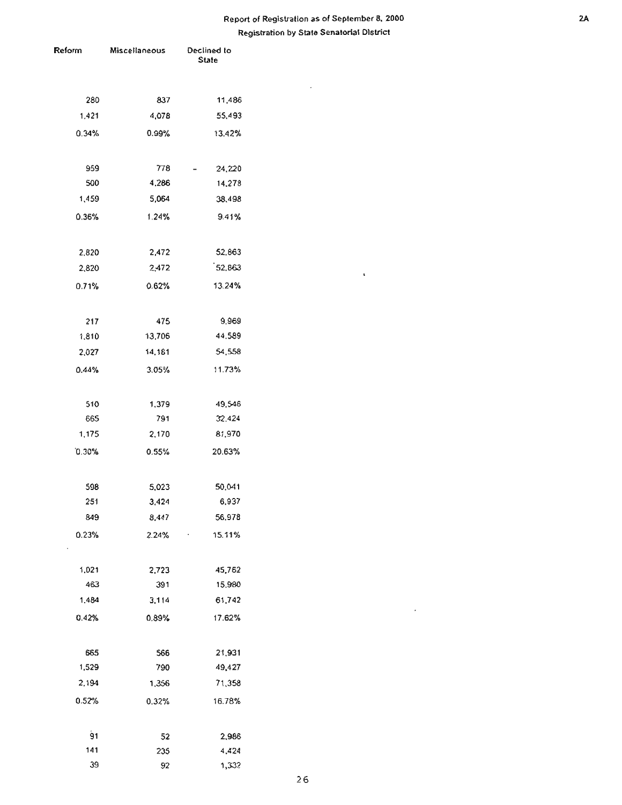### Report of Registration as of September 8, 2000 2A Registration by State Senatorial District

 $\sim$ 

 $\mathbf{v}$ 

 $\sim$ 

| Reform     | Miscellaneous | Declined to<br>State |
|------------|---------------|----------------------|
|            |               |                      |
| 280        | 837           | 11,486               |
| 1,421      | 4,078         | 55,493               |
| 0.34%      | 0.99%         | 13.42%               |
| 959        | 778           | 24,220               |
| 500        | 4,286         | 14,278               |
| 1,459      | 5,064         | 38,498               |
| 0.36%      | 1.24%         | 9.41%                |
|            |               |                      |
| 2,820      | 2,472         | 52,863               |
| 2,820      | 2,472         | 152,863              |
| 0.71%      | 0.62%         | 13.24%               |
| 217        | 475           | 9,969                |
| 1,810      | 13,706        | 44.589               |
| 2,027      | 14,181        | 54,558               |
| 0.44%      | 3.05%         | 11.73%               |
|            |               |                      |
| 510<br>665 | 1,379<br>791  | 49,546<br>32.424     |
| 1,175      | 2,170         | 81,970               |
|            |               |                      |
| 0.30%      | 0.55%         | 20.63%               |
| 598        | 5,023         | 50,041               |
| 251        | 3,424         | 6,937                |
| 849        | 8,447         | 56,978               |
| 0.23%      | 2.24%         | 15.11%               |
| 1,021      | 2,723         | 45,762               |
| 463        | 391           | 15.980               |
| 1.484      | 3,114         | 61,742               |
| 0.42%      | 0.89%         | 17.62%               |
|            |               |                      |
| 665        | 566           | 21,931               |
| 1,529      | 790           | 49,427               |
| 2,194      | 1,356         | 71,358               |
| 0.52%      | 0.32%         | 16.78%               |
| 91         | 52            | 2,986                |
| 141        | 235           | 4,424                |
| 39         | 92            | 1,332                |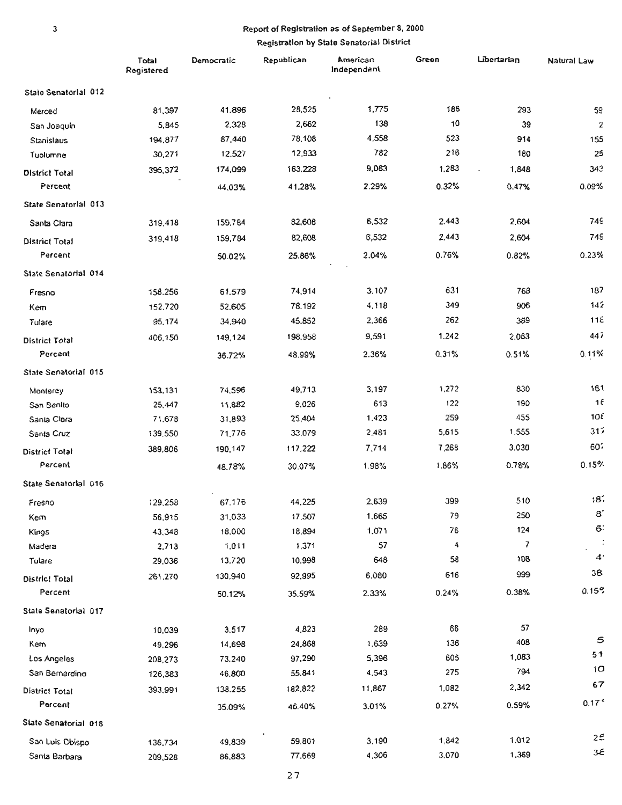## Report of Registration as of September 8, 2000

|                       | Total<br>Registered | Democratic | Republican | American<br>Independent | Green | Libertarian | Natural Law       |
|-----------------------|---------------------|------------|------------|-------------------------|-------|-------------|-------------------|
| State Senatorial 012  |                     |            |            |                         |       |             |                   |
| Merced                | 81,397              | 41,896     | 28,525     | 1,775                   | 186   | 293         | 59                |
| San Joaquin           | 5,845               | 2,328      | 2,662      | 138                     | 10    | 39          | $\overline{2}$    |
| Stanislaus            | 194,877             | 87,440     | 78,108     | 4,558                   | 523   | 914         | 155               |
| Tuolumne              | 30,271              | 12,527     | 12,933     | 782                     | 216   | 180         | 25                |
| <b>District Total</b> | 395,372             | 174,099    | 163,228    | 9,063                   | 1,283 | 1,848       | 343               |
| Percent               |                     | 44,03%     | 41.28%     | 2.29%                   | 0.32% | 0.47%       | 0.09%             |
| State Senatorial 013  |                     |            |            |                         |       |             |                   |
| Santa Clara           | 319,418             | 159,784    | 82,608     | 6,532                   | 2,443 | 2,604       | 749               |
| <b>District Total</b> | 319,418             | 159,784    | 82,608     | 6,532                   | 2,443 | 2,604       | <b>749</b>        |
| Percent               |                     | 50.02%     | 25.88%     | 2.04%                   | 0.76% | 0.82%       | 0.23%             |
| State Senatorial 014  |                     |            |            |                         |       |             |                   |
| Fresno                | 158,256             | 61,579     | 74,914     | 3.107                   | 631   | 768         | 187               |
| Kem                   | 152,720             | 52,605     | 78.192     | 4,118                   | 349   | 906         | 142               |
| Tulare                | 95,174              | 34,940     | 45,852     | 2,366                   | 262   | 389         | 11E               |
| <b>District Total</b> | 406,150             | 149,124    | 198,958    | 9,591                   | 1.242 | 2,063       | 447               |
| Percent               |                     | 36.72%     | 48.99%     | 2.36%                   | 0.31% | 0.51%       | 0.11%             |
| State Senatorial 015  |                     |            |            |                         |       |             |                   |
| Monterey              | 153,131             | 74,596     | 49,713     | 3,197                   | 1,272 | 830         | 161               |
| San Benito            | 25,447              | 11,882     | 9,026      | 613                     | 122   | 190         | 16                |
| Santa Clara           | 71,678              | 31,893     | 25,404     | 1.423                   | 259   | 455         | 108               |
| Santa Cruz            | 139.550             | 71,776     | 33,079     | 2,481                   | 5,615 | 1,555       | 317               |
| <b>District Total</b> | 389,806             | 190,147    | 117,222    | 7,714                   | 7,268 | 3.030       | 602               |
| Percent               |                     | 48.78%     | 30.07%     | 1.98%                   | 1.86% | 0.78%       | 0.15%             |
| State Senatorial 016  |                     |            |            |                         |       |             |                   |
| Fresno                | 129,258             | 67,176     | 44,225     | 2,639                   | 399   | 510         | 18.               |
| Kem                   | 56,915              | 31,033     | 17.507     | 1.665                   | 79    | 250         | 8                 |
| Kings                 | 43,348              | 18,000     | 18,894     | 1,071                   | 76    | 124         | 6                 |
| Madera                | 2,713               | 1,011      | 1,371      | 57                      | 4     | 7           |                   |
| Tulare                | 29,036              | 13,720     | 10.998     | 648                     | 58    | 108         | $\boldsymbol{A}$  |
| <b>District Total</b> | 261,270             | 130,940    | 92,995     | 6,080                   | 616   | 999         | 38                |
| Percent               |                     | 50.12%     | 35.59%     | 2.33%                   | 0.24% | 0.38%       | 0.15%             |
| State Senatorial 017  |                     |            |            |                         |       |             |                   |
| Inyo                  | 10,039              | 3,517      | 4,823      | 289                     | 66    | 57          |                   |
| Kem                   | 49,296              | 14,698     | 24,868     | 1.639                   | 136   | 408         | 5                 |
| Los Angeles           | 208,273             | 73,240     | 97,290     | 5,396                   | 605   | 1,083       | 51                |
| San Bemardino         | 126,383             | 46,800     | 55,841     | 4,543                   | 275   | 794         | 10                |
| District Total        | 393,991             | 138.255    | 182,822    | 11,867                  | 1,082 | 2,342       | 67                |
| Parcent               |                     | 35.09%     | 46.40%     | 3.01%                   | 0.27% | 0.59%       | 0.17 <sup>c</sup> |
| State Senatorial 018  |                     |            |            |                         |       |             |                   |
| San Luis Obispo       | 136,734             | 49,839     | 59,801     | 3,190                   | 1,842 | 1,012       | 25                |
| Santa Barbara         | 209,528             | 86,883     | 77,669     | 4,306                   | 3,070 | 1,369       | €3                |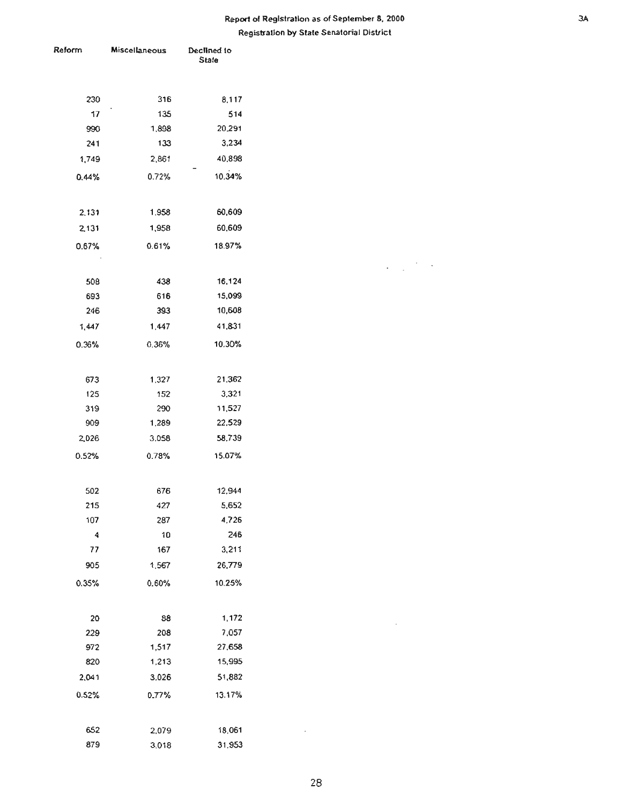### Report of Registration as of September 8, 2000 **3A Registration by State Senatorial Disu-ict**

 $\mathcal{L}_{\text{max}}$  , where  $\mathcal{L}_{\text{max}}$ 

 $\sim$   $\sim$ 

| Reform     | Miscellaneous | Declined to |  |
|------------|---------------|-------------|--|
|            |               | State       |  |
|            |               |             |  |
| 230        | 316           | 8,117       |  |
| 17         | 135           | 514         |  |
| 990        | 1,898         | 20,291      |  |
| 241        | 133           | 3,234       |  |
| 1,749      | 2,861         | 40,898      |  |
| 0.44%      | 0.72%         | 10.34%      |  |
|            |               |             |  |
| 2,131      | 1.958         | 60,609      |  |
| 2,131      | 1,958         | 60,609      |  |
|            |               |             |  |
| 0.67%      | 0.61%         | 18.97%      |  |
|            |               |             |  |
| 508        | 438           | 16,124      |  |
| 693        | 616           | 15,099      |  |
| 246        | 393           | 10,608      |  |
| 1,447      | 1,447         | 41,831      |  |
| 0.36%      | 0.36%         | 10.30%      |  |
|            |               |             |  |
|            |               | 21.362      |  |
| 673<br>125 | 1.327<br>152  | 3,321       |  |
| 319        | 290           | 11,527      |  |
| 909        | 1,289         | 22,529      |  |
| 2,026      | 3,058         | 58,739      |  |
|            |               |             |  |
| 0.52%      | 0.78%         | 15.07%      |  |
|            |               |             |  |
| 502        | 676           | 12,944      |  |
| 215        | 427           | 5,652       |  |
| 107        | 287           | 4,726       |  |
| 4          | $10$          | 246         |  |
| 77         | 167           | 3,211       |  |
| 905        | 1,567         | 26,779      |  |
| 0.35%      | 0.60%         | 10.25%      |  |
|            |               |             |  |
| 20         | 88            | 1,172       |  |
| 229        | 208           | 7,057       |  |
| 972        | 1,517         | 27,658      |  |
| 820        | 1,213         | 15,995      |  |
| 2,041      | 3,026         | 51,882      |  |
|            |               |             |  |
| 0.52%      | 0.77%         | 13.17%      |  |
|            |               |             |  |
| 652        | 2,079         | 18,061      |  |
| 879        | 3,018         | 31,953      |  |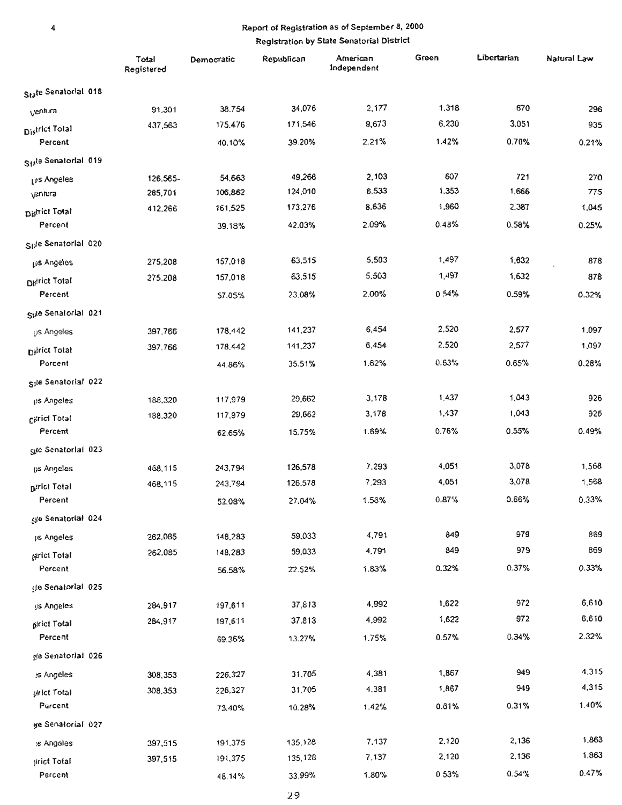### Report of Registration as of September 8, 2000 Registration by State Senatorial District

 $\pmb{4}$ 

|                                   | Total<br>Registered | Democratic | Republican | American<br>Independent | Green | Libertarian | Natural Law |
|-----------------------------------|---------------------|------------|------------|-------------------------|-------|-------------|-------------|
| State Senatorial 018              |                     |            |            |                         |       |             |             |
| ventura                           | 91,301              | 38,754     | 34,076     | 2,177                   | 1,318 | 670         | 296         |
| District Total                    | 437,563             | 175,476    | 171,546    | 9,673                   | 6,230 | 3,051       | 935         |
| Percent                           |                     | 40.10%     | 39.20%     | 2.21%                   | 1.42% | 0.70%       | 0.21%       |
| State Senatorial 019              |                     |            |            |                         |       |             |             |
| Les Angeles                       | 126.565-            | 54,663     | 49,268     | 2,103                   | 607   | 721         | 270         |
| ventura                           | 285,701             | 106,862    | 124,010    | 6,533                   | 1,353 | 1,666       | 775         |
| District Total                    | 412,266             | 161,525    | 173,276    | 8,636                   | 1,960 | 2,387       | 1,045       |
| Percent                           |                     | 39.18%     | 42.03%     | 2.09%                   | 0.48% | 0.58%       | 0.25%       |
| Side Senatorial 020               |                     |            |            |                         |       |             |             |
| Lis Angeles                       | 275,208             | 157,018    | 63,515     | 5,503                   | 1,497 | 1,632       | 878         |
| <b>Didrict Total</b>              | 275,208             | 157,018    | 63,515     | 5,503                   | 1,497 | 1,632       | 878         |
| Percent                           |                     | 57.05%     | 23.08%     | 2.00%                   | 0.54% | 0.59%       | 0.32%       |
| Side Senatorial 021               |                     |            |            |                         |       |             |             |
| <b>US Angeles</b>                 | 397,766             | 178,442    | 141,237    | 6,454                   | 2,520 | 2,577       | 1,097       |
| District Total                    | 397,766             | 178,442    | 141,237    | 6,454                   | 2,520 | 2,577       | 1,097       |
| Parcent                           |                     | 44.86%     | 35.51%     | 1.62%                   | 0.63% | 0.65%       | 0.28%       |
| Sple Senatorial 022               |                     |            |            |                         |       |             |             |
| us Angeles                        | 188,320             | 117,979    | 29,662     | 3,178                   | 1,437 | 1,043       | 926         |
| <b>District Total</b>             | 188.320             | 117,979    | 29,662     | 3,178                   | 1,437 | 1.043       | 926         |
| Percent                           |                     | 62.65%     | 15.75%     | 1.69%                   | 0.76% | 0.55%       | 0.49%       |
| Spe Senatorlal 023                |                     |            |            |                         |       |             |             |
| us Angeles                        | 468,115             | 243,794    | 126,578    | 7,293                   | 4,051 | 3,078       | 1,568       |
| <b>District Total</b>             | 468,115             | 243,794    | 126.578    | 7.293                   | 4,051 | 3,078       | 1,568       |
| Percent                           |                     | 52.08%     | 27.04%     | 1.56%                   | 0.87% | 0.66%       | 0.33%       |
| gje Senatorial 024                |                     |            |            |                         |       |             |             |
| jis Angeles                       | 262,085             | 148,283    | 59,033     | 4,791                   | 849   | 979         | 869         |
| periot Total                      | 262,085             | 148,283    | 59,033     | 4,791                   | 849   | 979         | 869         |
| Percent                           |                     | 56.58%     | 22.52%     | 1.83%                   | 0.32% | 0.37%       | 0.33%       |
| gle Senatorial 025                |                     |            |            |                         |       |             |             |
| ijs Angeles                       | 284,917             | 197,611    | 37,813     | 4,992                   | 1,622 | 972         | 6,610       |
| pirict Total                      | 284,917             | 197,611    | 37,813     | 4,992                   | 1,622 | 972         | 6,610       |
| Percent                           |                     | 69.36%     | 13.27%     | 1.75%                   | 0.57% | 0.34%       | 2.32%       |
| gle Senatorial 026                |                     |            |            |                         |       |             |             |
| is Angeles                        | 308,353             | 226,327    | 31,705     | 4,381                   | 1,867 | 949         | 4,315       |
| <b><i><u>Riffet Total</u></i></b> | 308,353             | 226,327    | 31,705     | 4.381                   | 1,867 | 949         | 4,315       |
| Parcent                           |                     | 73,40%     | 10.28%     | 1.42%                   | 0.61% | 0.31%       | 1.40%       |
| ge Senatorial 027                 |                     |            |            |                         |       |             |             |
| is Angeles                        | 397,515             | 191,375    | 135,128    | 7,137                   | 2,120 | 2,136       | 1,863       |
| Nrict Total                       | 397,515             | 191,375    | 135,128    | 7.137                   | 2,120 | 2,136       | 1,863       |
| Percent                           |                     | 48.14%     | 33.99%     | 1.80%                   | 053%  | 0.54%       | 0.47%       |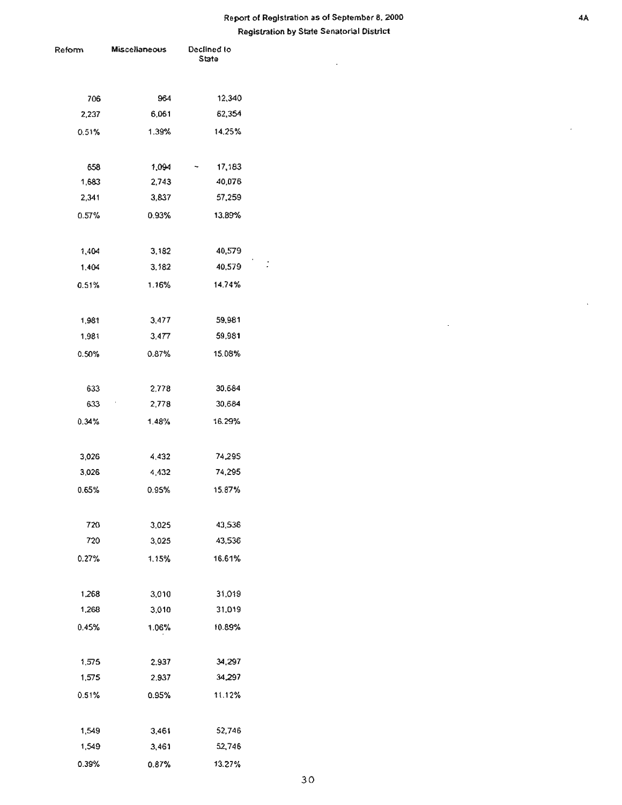### Report of Registration as of September a, 2000 Registration by Slate Senatorial District

 $\ddot{\phantom{a}}$ 

 $\bar{\beta}$ 

| eform | Miscellaneous          | Declined to<br>State |  |  |  |
|-------|------------------------|----------------------|--|--|--|
|       |                        |                      |  |  |  |
|       |                        |                      |  |  |  |
| 706   | 964                    | 12,340               |  |  |  |
| 2,237 | 6.061                  | 62,354               |  |  |  |
| 0.51% | 1.39%                  | 14.25%               |  |  |  |
|       |                        |                      |  |  |  |
| 658   | 1,094                  | 17,183               |  |  |  |
| 1,683 | 2,743                  | 40,076               |  |  |  |
| 2,341 | 3,837                  | 57,259               |  |  |  |
| 0.57% | 0.93%                  | 13.89%               |  |  |  |
|       |                        |                      |  |  |  |
| 1,404 | 3,182                  | 40,579               |  |  |  |
| 1,404 | 3,182                  | 40,579               |  |  |  |
| 0.51% | 1.16%                  | 14.74%               |  |  |  |
|       |                        |                      |  |  |  |
| 1,981 | 3,477                  | 59,981               |  |  |  |
| 1,981 | 3,477                  | 59,981               |  |  |  |
| 0.50% | 0.87%                  | 15.08%               |  |  |  |
|       |                        |                      |  |  |  |
| 633   | 2,778                  | 30,684               |  |  |  |
| 633   | $\mathcal{A}$<br>2,778 | 30,684               |  |  |  |
| 0.34% | 1.48%                  | 16.29%               |  |  |  |
|       |                        |                      |  |  |  |
| 3,026 | 4,432                  | 74,295               |  |  |  |
| 3,026 | 4,432                  | 74,295               |  |  |  |
| 0.65% | 0.95%                  | 15.87%               |  |  |  |
|       |                        |                      |  |  |  |
| 720   | 3,025                  | 43,536               |  |  |  |
| 720   | 3,025                  | 43,536               |  |  |  |
| 0.27% | 1.15%                  | 16.61%               |  |  |  |
|       |                        |                      |  |  |  |
| 1,268 | 3,010                  | 31,019               |  |  |  |
| 1,268 | 3,010                  | 31,019               |  |  |  |
| 0.45% | 1.06%                  | 10.89%               |  |  |  |
|       |                        |                      |  |  |  |
| 1,575 | 2.937                  | 34,297               |  |  |  |
| 1,575 | 2.937                  | 34,297               |  |  |  |
| 0.51% | 0.95%                  | 11.12%               |  |  |  |
|       |                        |                      |  |  |  |
| 1,549 | 3,461                  | 52,746               |  |  |  |
| 1,549 | 3,461                  | 52,746               |  |  |  |
| 0.39% | 0.87%                  | 13.27%               |  |  |  |
|       |                        |                      |  |  |  |

 $\ddot{\phantom{0}}$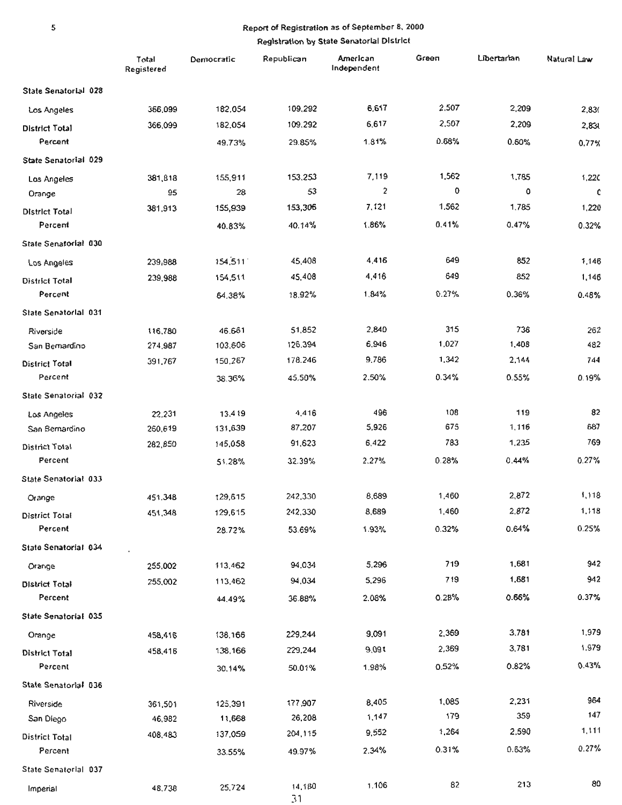### 5 Report of Registration as of September 8, 2000 Registration by State Senatorial District

|                       | Total<br>Registered | Democratic | Republican   | American<br>Independent | Green | Libertarian | Natural Law |
|-----------------------|---------------------|------------|--------------|-------------------------|-------|-------------|-------------|
| State Senatorial 028  |                     |            |              |                         |       |             |             |
| Los Angeles           | 366,099             | 182,054    | 109,292      | 6,617                   | 2,507 | 2,209       | 2,830       |
| <b>District Total</b> | 366,099             | 182,054    | 109.292      | 6,617                   | 2,507 | 2,209       | 2,830       |
| Percent               |                     | 49.73%     | 29.85%       | 1.81%                   | 0.68% | 0.60%       | 0.77%       |
| State Senatorial 029  |                     |            |              |                         |       |             |             |
| Los Angeles           | 381,818             | 155,911    | 153,253      | 7,119                   | 1,562 | 1,785       | 1,220       |
| Orange                | 95                  | 28         | 53           | 2                       | 0     | ٥           | c           |
| <b>District Total</b> | 381,913             | 155,939    | 153,306      | 7,121                   | 1,562 | 1,785       | 1,220       |
| Percent               |                     | 40.83%     | 40.14%       | 1.86%                   | 0.41% | 0.47%       | 0.32%       |
| State Senatorial 030  |                     |            |              |                         |       |             |             |
| Los Angeles           | 239,988             | 154,511    | 45,408       | 4,416                   | 649   | 852         | 1,146       |
| <b>District Total</b> | 239,988             | 154,511    | 45,408       | 4,416                   | 649   | 852         | 1,146       |
| Percent               |                     | 64.38%     | 18.92%       | 1.84%                   | 0.27% | 0.36%       | 0.48%       |
| State Senatorial 031  |                     |            |              |                         |       |             |             |
| Riverside             | 116,780             | 46.661     | 51,852       | 2,840                   | 315   | 736         | 262         |
| San Bernardino        | 274,987             | 103,606    | 126,394      | 6,946                   | 1,027 | 1,408       | 482         |
| District Total        | 391,767             | 150,267    | 178.246      | 9.786                   | 1,342 | 2,144       | 744         |
| Percent               |                     | 38.36%     | 45,50%       | 2.50%                   | 0.34% | 0.55%       | 0.19%       |
| State Senatorial 032  |                     |            |              |                         |       |             |             |
| Los Angeles           | 22,231              | 13,419     | 4.416        | 496                     | 108   | 119         | 82          |
| San Bernardino        | 260,619             | 131,639    | 87,207       | 5,926                   | 675   | 1,116       | 687         |
| <b>District Total</b> | 282,850             | 145,058    | 91,623       | 6,422                   | 783   | 1,235       | 769         |
| Percent               |                     | 51.28%     | 32.39%       | 2.27%                   | 0.28% | 0.44%       | 0.27%       |
| State Senatorial 033  |                     |            |              |                         |       |             |             |
| Orange                | 451,348             | 129,615    | 242,330      | 8,689                   | 1,460 | 2,872       | 1,118       |
| <b>District Total</b> | 451,348             | 129,615    | 242,330      | 8,689                   | 1,460 | 2.872       | 1,118       |
| Percent               |                     | 28.72%     | 53.69%       | 1.93%                   | 0.32% | 0.64%       | 0.25%       |
| State Senatorial 034  |                     |            |              |                         |       |             |             |
| Orange                | 255,002             | 113,462    | 94.034       | 5,296                   | 719   | 1,681       | 942         |
| <b>District Total</b> | 255,002             | 113,462    | 94,034       | 5,296                   | 719   | 1,681       | 942         |
| Percent               |                     | 44.49%     | 36.88%       | 2.08%                   | 0.28% | 0.66%       | 0.37%       |
| State Senatorial 035  |                     |            |              |                         |       |             |             |
| Orange                | 458,416             | 138,165    | 229,244      | 9,091                   | 2,369 | 3,781       | 1,979       |
| District Total        | 458,416             | 138,166    | 229,244      | 9,091                   | 2,369 | 3,781       | 1,979       |
| Percent               |                     | 30.14%     | 50.01%       | 1.98%                   | 0.52% | 0.82%       | 0.43%       |
| State Senatorial 036  |                     |            |              |                         |       |             |             |
| Riverside             | 361,501             | 125,391    | 177,907      | 8,405                   | 1,085 | 2,231       | 964         |
| San Diego             | 46,982              | 11,668     | 26,208       | 1,147                   | 179   | 359         | 147         |
| <b>District Total</b> | 408,483             | 137,059    | 204,115      | 9,552                   | 1,264 | 2,590       | 1,111       |
| Percent               |                     | 33.55%     | 49.97%       | 2.34%                   | 0.31% | 0.63%       | 0.27%       |
| State Senatorial 037  |                     |            |              |                         |       |             |             |
| Imperial              | 48,738              | 25,724     | 14,180<br>31 | 1.106                   | 82    | 213         | 80          |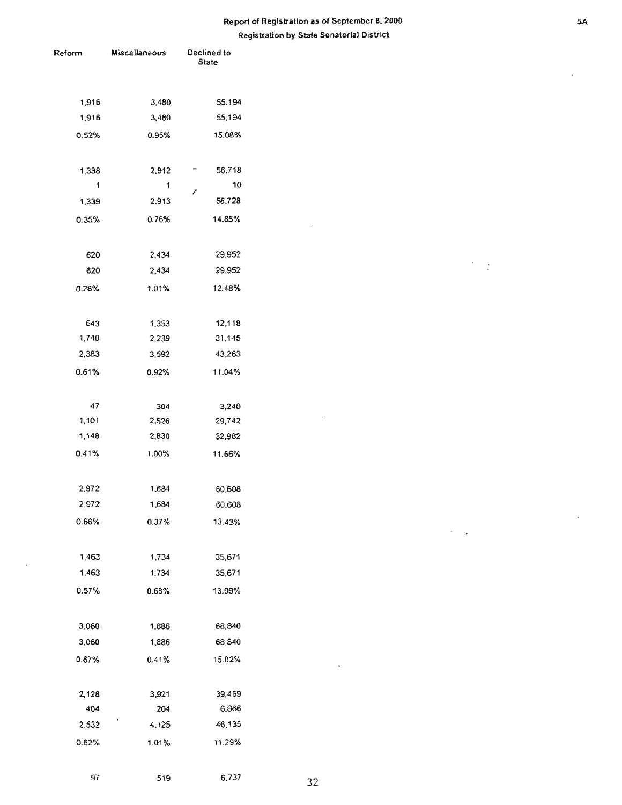### Report of Registration as of September 8, 2000 Registration by State Senatorial District

| Reform | Miscellaneous | Declined to<br><b>State</b> |    |
|--------|---------------|-----------------------------|----|
|        |               |                             |    |
|        |               |                             |    |
| 1,916  | 3,480         | 55,194                      |    |
| 1,916  | 3,480         | 55,194                      |    |
| 0.52%  | 0.95%         | 15.08%                      |    |
|        |               |                             |    |
| 1,338  | 2,912         | 56,718                      |    |
| 1      | 1             | 10                          |    |
| 1,339  | 2,913         | t<br>56,728                 |    |
| 0.35%  | 0.76%         | 14.85%                      |    |
|        |               |                             |    |
| 620    | 2,434         | 29,952                      |    |
| 620    | 2,434         | 29.952                      |    |
| 0.26%  | 1.01%         | 12.48%                      |    |
|        |               |                             |    |
|        |               |                             |    |
| 643    | 1,353         | 12,118                      |    |
| 1,740  | 2,239         | 31,145                      |    |
| 2,383  | 3.592         | 43,263                      |    |
| 0.61%  | 0.92%         | 11.04%                      |    |
|        |               |                             |    |
| $47\,$ | 304           | 3,240                       |    |
| 1,101  | 2,526         | 29,742                      |    |
| 1,148  | 2,830         | 32,982                      |    |
| 0.41%  | 1.00%         | 11.66%                      |    |
|        |               |                             |    |
| 2,972  | 1,684         | 60,608                      |    |
| 2,972  | 1,684         | 60,608                      |    |
| 0.66%  | 0.37%         | 13.43%                      |    |
|        |               |                             |    |
| 1,463  | 1,734         | 35,671                      |    |
| 1,463  | 1,734         | 35,671                      |    |
| 0.57%  | 0.68%         | 13.99%                      |    |
|        |               |                             |    |
|        |               |                             |    |
| 3.060  | 1,886         | 68,840                      |    |
| 3,060  | 1,886         | 68,840                      |    |
| 0.67%  | 0.41%         | 15.02%                      |    |
|        |               |                             |    |
| 2,128  | 3,921         | 39,469                      |    |
| 404    | 204           | 6,666                       |    |
| 2,532  | 4,125         | 46,135                      |    |
| 0.62%  | 1.01%         | 11.29%                      |    |
|        |               |                             |    |
| 97     | 519           | 6,737                       | 32 |
|        |               |                             |    |

 $\cdot$ 

 $\bar{e}$ 

 $\cdot$ 

 $\gamma_{\rm eff}$ 

 $\lambda$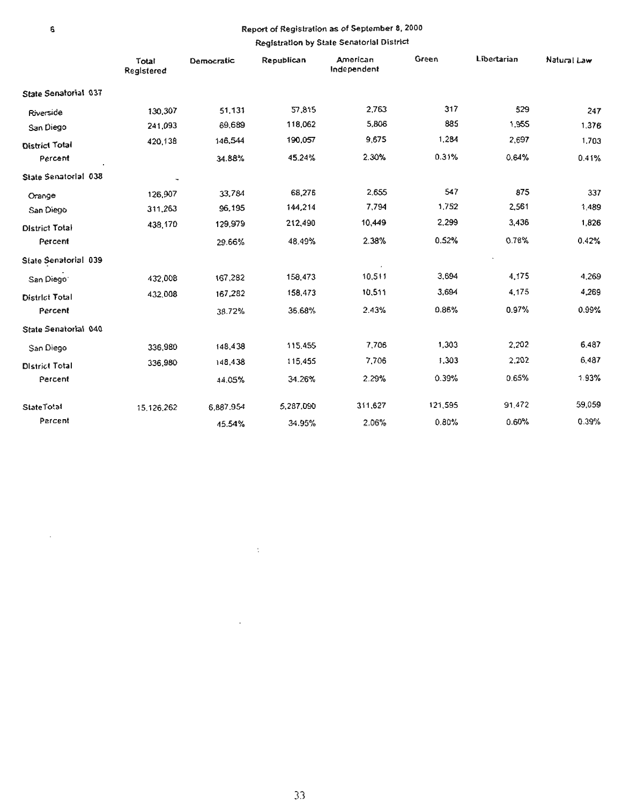### • Report of Registriltion as of September 8, 2000

#### Registration by State Senatorial District

|                       | Total<br>Registered | Democratic | Republican | American<br>Independent | Green   | Libertarian | Natural Law |
|-----------------------|---------------------|------------|------------|-------------------------|---------|-------------|-------------|
| State Senatorial 037  |                     |            |            |                         |         |             |             |
| Riverside             | 130,307             | 51,131     | 57,815     | 2,763                   | 317     | 529         | 247         |
| San Diego             | 241,093             | 69,689     | 118,062    | 5,806                   | 885     | 1,955       | 1.376       |
| District Total        | 420,138             | 146,544    | 190,057    | 9,675                   | 1,284   | 2,697       | 1,703       |
| Percent               |                     | 34.88%     | 45.24%     | 2.30%                   | 0.31%   | 0.64%       | 0.41%       |
| State Senatorial 038  |                     |            |            |                         |         |             |             |
| Orange                | 126,907             | 33,784     | 68,276     | 2.655                   | 547     | 875         | 337         |
| San Diego             | 311,263             | 96,195     | 144,214    | 7,794                   | 1,752   | 2,561       | 1,489       |
| <b>District Total</b> | 438,170             | 129,979    | 212,490    | 10,449                  | 2,299   | 3,436       | 1,826       |
| Percent               |                     | 29.66%     | 48.49%     | 2.38%                   | 0.52%   | 0.78%       | 0.42%       |
| State Senatorial 039  |                     |            |            |                         |         |             |             |
| San Diego             | 432,008             | 167,282    | 158,473    | 10,511                  | 3,694   | 4,175       | 4,269       |
| District Total        | 432,008             | 167,282    | 158,473    | 10,511                  | 3,694   | 4,175       | 4,269       |
| Percent               |                     | 38.72%     | 36.68%     | 2.43%                   | 0.86%   | 0.97%       | 0.99%       |
| State Senatorial 040  |                     |            |            |                         |         |             |             |
| San Diego             | 336,980             | 148,438    | 115.455    | 7,706                   | 1.303   | 2,202       | 6.487       |
| <b>District Total</b> | 336,980             | 148,438    | 115,455    | 7,706                   | 1,303   | 2,202       | 6,487       |
| Percent               |                     | 44.05%     | 34.26%     | 2.29%                   | 0.39%   | 0.65%       | 1.93%       |
| <b>StateTotal</b>     | 15,126.262          | 6,887.954  | 5,287,090  | 311,627                 | 121,595 | 91,472      | 59,059      |
| Percent               |                     | 45.54%     | 34.95%     | 2.06%                   | 0.80%   | 0.60%       | 0.39%       |

 $\sim$ 

 $\Delta \sim 1$ 

 $\overline{\phantom{a}}$